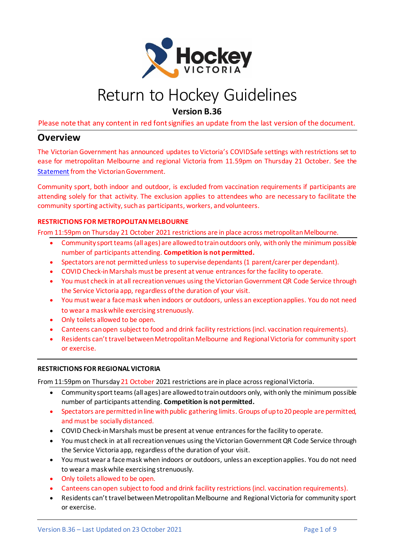

# Return to Hockey Guidelines

**Version B.36**

Please note that any content in red font signifies an update from the last version of the document.

#### **Overview**

The Victorian Government has announced updates to Victoria's COVIDSafe settings with restrictions set to ease for metropolitan Melbourne and regional Victoria from 11.59pm on Thursday 21 October. See the [Statement](https://www.premier.vic.gov.au/victorians-hard-work-means-hitting-target-ahead-time) from the Victorian Government.

Community sport, both indoor and outdoor, is excluded from vaccination requirements if participants are attending solely for that activity. The exclusion applies to attendees who are necessary to facilitate the community sporting activity, such as participants, workers, and volunteers.

#### **RESTRICTIONS FOR METROPOLITAN MELBOURNE**

From 11:59pm on Thursday 21 October 2021 restrictions are in place across metropolitan Melbourne.

- Community sport teams (all ages) are allowed to train outdoors only, with only the minimum possible number of participants attending. **Competition is not permitted.**
- Spectators are not permitted unless to supervise dependants (1 parent/carer per dependant).
- COVID Check-in Marshals must be present at venue entrances for the facility to operate.
- You must check in at all recreation venues using the Victorian Government QR Code Service through the Service Victoria app, regardless of the duration of your visit.
- You must wear a face mask when indoors or outdoors, unless an exception applies. You do not need to wear a mask while exercising strenuously.
- Only toilets allowed to be open.
- Canteens can open subject to food and drink facility restrictions (incl. vaccination requirements).
- Residents can't travel between Metropolitan Melbourne and Regional Victoria for community sport or exercise.

#### **RESTRICTIONS FOR REGIONAL VICTORIA**

From 11:59pm on Thursday 21 October 2021 restrictions are in place across regional Victoria.

- Community sport teams (all ages) are allowed to train outdoors only, with only the minimum possible number of participants attending. **Competition is not permitted.**
- Spectators are permitted in line with public gathering limits. Groups of up to 20 people are permitted, and must be socially distanced.
- COVID Check-in Marshals must be present at venue entrances for the facility to operate.
- You must check in at all recreation venues using the Victorian Government QR Code Service through the Service Victoria app, regardless of the duration of your visit.
- You must wear a face mask when indoors or outdoors, unless an exception applies. You do not need to wear a mask while exercising strenuously.
- Only toilets allowed to be open.
- Canteens can open subject to food and drink facility restrictions (incl. vaccination requirements).
- Residents can't travel between Metropolitan Melbourne and Regional Victoria for community sport or exercise.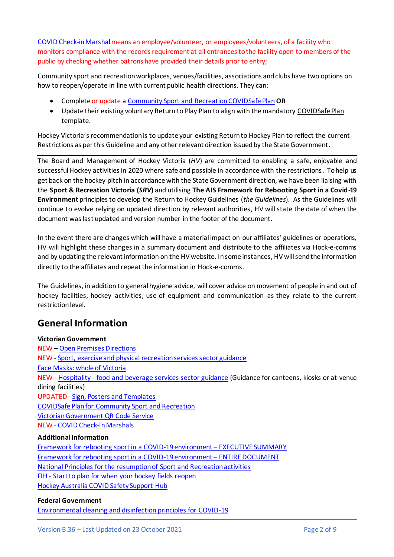[COVID Check-in Marshal](https://www.coronavirus.vic.gov.au/covid-check-in-marshals) means an employee/volunteer, or employees/volunteers, of a facility who monitors compliance with the records requirement at all entrances to the facility open to members of the public by checking whether patrons have provided their details prior to entry;

Community sport and recreation workplaces, venues/facilities, associations and clubs have two options on how to reopen/operate in line with current public health directions. They can:

- Complete or update [a Community Sport and Recreation COVIDSafe Plan](https://www.coronavirus.vic.gov.au/sites/default/files/2020-12/COVIDSafe-Plan-Community-Sports.docx)**OR**
- Update their existing voluntary Return to Play Plan to align with the mandator[y COVIDSafe Plan](https://www.coronavirus.vic.gov.au/covidsafe-plan) template.

Hockey Victoria's recommendation is to update your existing Return to Hockey Plan to reflect the current Restrictions as per this Guideline and any other relevant direction issued by the State Government.

The Board and Management of Hockey Victoria (*HV*) are committed to enabling a safe, enjoyable and successful Hockey activities in 2020 where safe and possible in accordance with the restrictions. To help us get back on the hockey pitch in accordance with the State Government direction, we have been liaising with the **Sport & Recreation Victoria (***SRV***)** and utilising **The AIS Framework for Rebooting Sport in a Covid-19 Environment** principles to develop the Return to Hockey Guidelines (*the Guidelines*). As the Guidelines will continue to evolve relying on updated direction by relevant authorities, HV will state the date of when the document was last updated and version number in the footer of the document.

In the event there are changes which will have a material impact on our affiliates' guidelines or operations, HV will highlight these changes in a summary document and distribute to the affiliates via Hock-e-comms and by updating the relevant information on the HV website. In some instances, HV will send the information directly to the affiliates and repeat the information in Hock-e-comms.

The Guidelines, in addition to general hygiene advice, will cover advice on movement of people in and out of hockey facilities, hockey activities, use of equipment and communication as they relate to the current restriction level.

## **General Information**

#### **Victorian Government**

NEW – [Open](https://www.dhhs.vic.gov.au/restricted-activity-directions-regional-victoria-no-4-pdf) Premise[s Directions](https://www.dhhs.vic.gov.au/open-premises-directions-21-october-2021-pdf) NEW - [Sport, exercise and physical recreation services sector guidance](https://www.coronavirus.vic.gov.au/sport-exercise-and-physical-recreation-services-sector-guidance) [Face Masks: whole of Victoria](https://www.coronavirus.vic.gov.au/face-masks) NEW - Hospitality - [food and beverage services sector guidance](https://www.coronavirus.vic.gov.au/hospitality-food-and-beverage-services-sector-guidance) (Guidance for canteens, kiosks or at-venue dining facilities) UPDATED - [Sign, Posters and Templates](https://www.coronavirus.vic.gov.au/signs-posters-and-templates) [COVIDSafe Plan for Community Sport and Recreation](https://www.coronavirus.vic.gov.au/sites/default/files/2020-12/COVIDSafe-Plan-Community-Sports.docx) [Victorian Government QR Code Service](https://www.coronavirus.vic.gov.au/qrcode) NEW - COVID [Check-InMarshals](https://www.coronavirus.vic.gov.au/covid-check-in-marshals)

#### **Additional Information**

Framework for rebooting sport in a [COVID-19 environment](https://www.pm.gov.au/sites/default/files/files/attachb-ais-framework-rebooting-sport.pdf) – EXECUTIVE SUMMARY [Framework for rebooting sport in a COVID-19 environment](https://ais.gov.au/__data/assets/pdf_file/0008/730376/35845_AIS-Framework-for-rebooting-sport_FA.pdf) – ENTIRE DOCUMENT [National Principles for the resumption of Sport and Recreation activities](https://www.pm.gov.au/sites/default/files/files/attacha-national-principles-resumption-sport-recreation-activities.pdf) FIH - [Start to plan for when your hockey fields reopen](http://www.fih.ch/media/13350090/start-to-plan-now-for-when-your-hockey-field-reopens.pdf) [Hockey Australia COVID Safety Support Hub](https://hockey.org.au/covid-safety-support-hub/)

#### **Federal Government**

[Environmental cleaning and disinfection principles for COVID-19](https://www.health.gov.au/sites/default/files/documents/2020/03/environmental-cleaning-and-disinfection-principles-for-covid-19.pdf)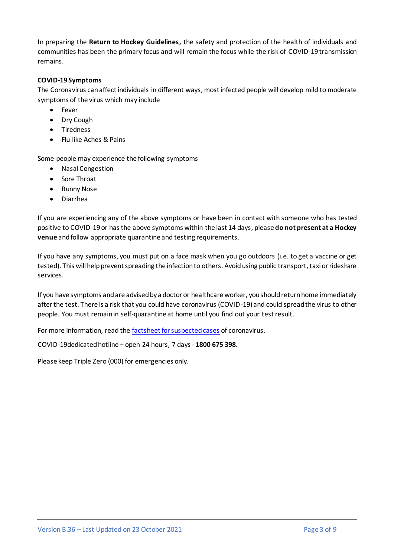In preparing the **Return to Hockey Guidelines,** the safety and protection of the health of individuals and communities has been the primary focus and will remain the focus while the risk of COVID-19 transmission remains.

#### **COVID-19 Symptoms**

The Coronavirus can affect individuals in different ways, most infected people will develop mild to moderate symptoms of the virus which may include

- Fever
- Dry Cough
- Tiredness
- Flu like Aches & Pains

Some people may experience the following symptoms

- Nasal Congestion
- Sore Throat
- Runny Nose
- Diarrhea

If you are experiencing any of the above symptoms or have been in contact with someone who has tested positive to COVID-19 or has the above symptoms within the last 14 days, please **do not present at a Hockey venue** and follow appropriate quarantine and testing requirements.

If you have any symptoms, you must put on a face mask when you go outdoors (i.e. to get a vaccine or get tested). This will help prevent spreading the infection to others. Avoid using public transport, taxi or rideshare services.

If you have symptoms and are advised by a doctor or healthcare worker, you should return home immediately after the test. There is a risk that you could have coronavirus (COVID-19) and could spread the virus to other people. You must remain in self-quarantine at home until you find out your test result.

For more information, read the [factsheet for suspected cases](https://www.dhhs.vic.gov.au/novel-coronavirus-suspected-case-what-you-need-know) of coronavirus.

COVID-19dedicated hotline – open 24 hours, 7 days- **1800 675 398.**

Please keep Triple Zero (000) for emergencies only.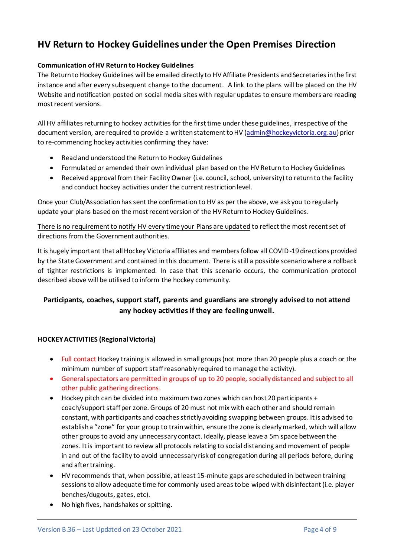# **HV Return to Hockey Guidelines under the Open Premises Direction**

#### **Communication of HV Return to Hockey Guidelines**

The Return to Hockey Guidelines will be emailed directly to HV Affiliate Presidents and Secretaries in the first instance and after every subsequent change to the document. A link to the plans will be placed on the HV Website and notification posted on social media sites with regular updates to ensure members are reading most recent versions.

All HV affiliates returning to hockey activities for the first time under these guidelines, irrespective of the document version, are required to provide a written statement to HV [\(admin@hockeyvictoria.org.au\)](mailto:admin@hockeyvictoria.org.au) prior to re-commencing hockey activities confirming they have:

- Read and understood the Return to Hockey Guidelines
- Formulated or amended their own individual plan based on the HV Return to Hockey Guidelines
- Received approval from their Facility Owner (i.e. council, school, university) to return to the facility and conduct hockey activities under the current restriction level.

Once your Club/Association hassent the confirmation to HV as per the above, we ask you to regularly update your plans based on the most recent version of the HV Return to Hockey Guidelines.

There is no requirement to notify HV every time your Plans are updated to reflect the most recent set of directions from the Government authorities.

It is hugely important that all Hockey Victoria affiliates and members follow all COVID-19 directions provided by the State Government and contained in this document. There is still a possible scenario where a rollback of tighter restrictions is implemented. In case that this scenario occurs, the communication protocol described above will be utilised to inform the hockey community.

#### **Participants, coaches, support staff, parents and guardians are strongly advised to not attend any hockey activities if they are feeling unwell.**

#### **HOCKEY ACTIVITIES (Regional Victoria)**

- Full contact Hockey training is allowed in small groups (not more than 20 people plus a coach or the minimum number of support staff reasonably required to manage the activity).
- General spectators are permitted in groups of up to 20 people, socially distanced and subject to all other public gathering directions.
- Hockey pitch can be divided into maximum two zones which can host 20 participants + coach/support staff per zone. Groups of 20 must not mix with each other and should remain constant, with participants and coaches strictly avoiding swapping between groups. It is advised to establish a "zone" for your group to train within, ensure the zone is clearly marked, which will allow other groups to avoid any unnecessary contact. Ideally, please leave a 5m space between the zones. It is important to review all protocols relating to social distancing and movement of people in and out of the facility to avoid unnecessary risk of congregation during all periods before, during and after training.
- HV recommends that, when possible, at least 15-minute gaps are scheduled in between training sessions to allow adequate time for commonly used areas to be wiped with disinfectant (i.e. player benches/dugouts, gates, etc).
- No high fives, handshakes or spitting.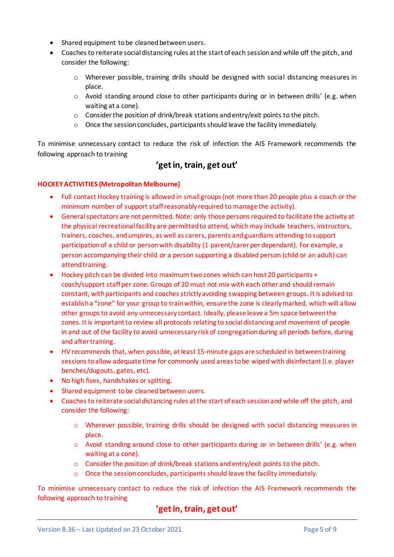- Shared equipment to be cleaned between users.
- Coaches to reiterate social distancing rules at the start of each session and while off the pitch, and consider the following:
	- o Wherever possible, training drills should be designed with social distancing measures in place.
	- o Avoid standing around close to other participants during or in between drills' (e.g. when waiting at a cone).
	- o Consider the position of drink/break stations and entry/exit points to the pitch.
	- o Once the session concludes, participants should leave the facility immediately.

To minimise unnecessary contact to reduce the risk of infection the AIS Framework recommends the following approach to training

## **'get in, train, get out'**

#### **HOCKEY ACTIVITIES (Metropolitan Melbourne)**

- Full contact Hockey training is allowed in small groups (not more than 20 people plus a coach or the minimum number of support staff reasonably required to manage the activity).
- General spectators are not permitted. Note: only those persons required to facilitate the activity at the physical recreational facility are permitted to attend, which may include teachers, instructors, trainers, coaches, and umpires, as well as carers, parents and guardians attending to support participation of a child or person with disability (1 parent/carer per dependant). For example, a person accompanying their child or a person supporting a disabled person (child or an adult) can attend training.
- Hockey pitch can be divided into maximum two zones which can host 20 participants + coach/support staff per zone. Groups of 20 must not mix with each other and should remain constant, with participants and coaches strictly avoiding swapping between groups. It is advised to establish a "zone" for your group to train within, ensure the zone is clearly marked, which will allow other groups to avoid any unnecessary contact. Ideally, please leave a 5m space between the zones. It is important to review all protocols relating to social distancing and movement of people in and out of the facility to avoid unnecessary risk of congregation during all periods before, during and after training.
- HV recommends that, when possible, at least 15-minute gaps are scheduled in between training sessions to allow adequate time for commonly used areas to be wiped with disinfectant (i.e. player benches/dugouts, gates, etc).
- No high fives, handshakes or spitting.
- Shared equipment to be cleaned between users.
- Coaches to reiterate social distancing rules at the start of each session and while off the pitch, and consider the following:
	- o Wherever possible, training drills should be designed with social distancing measures in place.
	- o Avoid standing around close to other participants during or in between drills' (e.g. when waiting at a cone).
	- o Consider the position of drink/break stations and entry/exit points to the pitch.
	- o Once the session concludes, participants should leave the facility immediately.

To minimise unnecessary contact to reduce the risk of infection the AIS Framework recommends the following approach to training

## **'get in, train, get out'**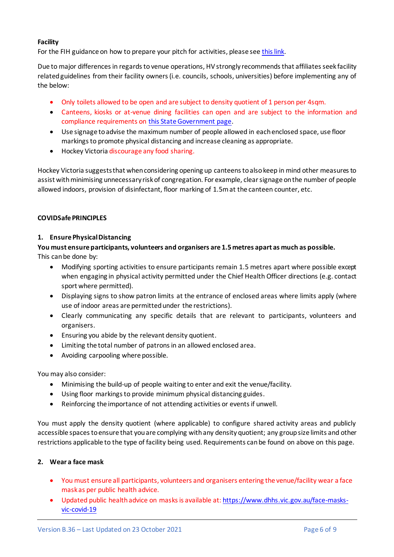#### **Facility**

For the FIH guidance on how to prepare your pitch for activities, please se[e this link.](http://fih.ch/news/covid-19-fih-issues-guidance-to-ensure-playing-fields-are-ready-when-restrictions-end/)

Due to major differences in regards to venue operations, HV strongly recommends that affiliates seek facility related guidelines from their facility owners (i.e. councils, schools, universities) before implementing any of the below:

- Only toilets allowed to be open and are subject to density quotient of 1 person per 4sqm.
- Canteens, kiosks or at-venue dining facilities can open and are subject to the information and compliance requirements o[n this State Government page.](https://www.coronavirus.vic.gov.au/hospitality-food-and-beverage-services-sector-guidance)
- Use signage to advise the maximum number of people allowed in each enclosed space, use floor markings to promote physical distancing and increase cleaning as appropriate.
- Hockey Victoria discourage any food sharing.

Hockey Victoria suggests that when considering opening up canteens to also keep in mind other measures to assist with minimising unnecessary risk of congregation. For example, clear signage on the number of people allowed indoors, provision of disinfectant, floor marking of 1.5m at the canteen counter, etc.

#### **COVIDSafe PRINCIPLES**

#### **1. Ensure Physical Distancing**

#### **You must ensure participants, volunteers and organisers are 1.5 metres apart as much as possible.**

This can be done by:

- Modifying sporting activities to ensure participants remain 1.5 metres apart where possible except when engaging in physical activity permitted under the Chief Health Officer directions (e.g. contact sport where permitted).
- Displaying signs to show patron limits at the entrance of enclosed areas where limits apply (where use of indoor areas are permitted under the restrictions).
- Clearly communicating any specific details that are relevant to participants, volunteers and organisers.
- Ensuring you abide by the relevant density quotient.
- Limiting the total number of patrons in an allowed enclosed area.
- Avoiding carpooling where possible.

You may also consider:

- Minimising the build-up of people waiting to enter and exit the venue/facility.
- Using floor markings to provide minimum physical distancing guides.
- Reinforcing the importance of not attending activities or events if unwell.

You must apply the density quotient (where applicable) to configure shared activity areas and publicly accessible spaces to ensure that youare complying with any density quotient; any group size limits and other restrictions applicable to the type of facility being used. Requirements can be found on above on this page.

#### **2. Wear a face mask**

- You must ensure all participants, volunteers and organisers entering the venue/facility wear a face mask as per public health advice.
- Updated public health advice on masks is available at[: https://www.dhhs.vic.gov.au/face-masks](https://www.dhhs.vic.gov.au/face-masks-vic-covid-19)[vic-covid-19](https://www.dhhs.vic.gov.au/face-masks-vic-covid-19)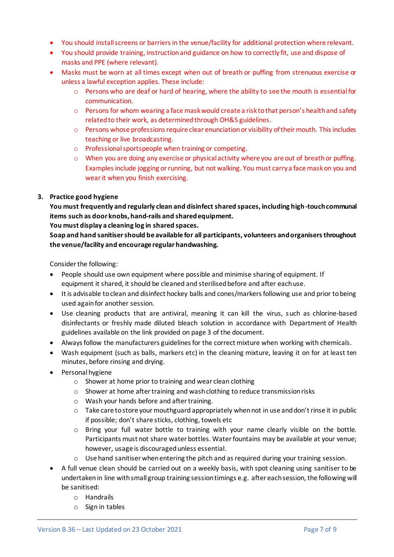- You should install screens or barriers in the venue/facility for additional protection where relevant.
- You should provide training, instruction and guidance on how to correctly fit, use and dispose of masks and PPE (where relevant).
- Masks must be worn at all times except when out of breath or puffing from strenuous exercise or unless a lawful exception applies. These include:
	- o Persons who are deaf or hard of hearing, where the ability to see the mouth is essential for communication.
	- o Persons for whom wearing a face mask would create a risk to that person's health and safety related to their work, as determined through OH&S guidelines.
	- $\circ$  Persons whose professions require clear enunciation or visibility of their mouth. This includes teaching or live broadcasting.
	- o Professional sportspeople when training or competing.
	- o When you are doing any exercise or physical activity where you are out of breath or puffing. Examples include jogging or running, but not walking. You must carry a face mask on you and wear it when you finish exercising.

#### **3. Practice good hygiene**

**You must frequently and regularly clean and disinfect shared spaces, including high-touch communal items such as door knobs, hand-rails and shared equipment.**

#### **You must display a cleaning log in shared spaces.**

**Soap and hand sanitiser should be available for all participants, volunteers and organisers throughout the venue/facility and encourage regular handwashing.**

Consider the following:

- People should use own equipment where possible and minimise sharing of equipment. If equipment it shared, it should be cleaned and sterilised before and after each use.
- It is advisable to clean and disinfect hockey balls and cones/markers following use and prior to being used again for another session.
- Use cleaning products that are antiviral, meaning it can kill the virus, such as chlorine-based disinfectants or freshly made diluted bleach solution in accordance with Department of Health guidelines available on the link provided on page 3 of the document.
- Always follow the manufacturers guidelines for the correct mixture when working with chemicals.
- Wash equipment (such as balls, markers etc) in the cleaning mixture, leaving it on for at least ten minutes, before rinsing and drying.
- Personal hygiene
	- o Shower at home prior to training and wear clean clothing
	- o Shower at home after training and wash clothing to reduce transmission risks
	- o Wash your hands before and after training.
	- $\circ$  Take care to store your mouthguard appropriately when not in use and don't rinse it in public if possible; don't share sticks, clothing, towels etc
	- o Bring your full water bottle to training with your name clearly visible on the bottle. Participants must not share water bottles. Water fountains may be available at your venue; however, usage is discouraged unless essential.
	- o Use hand sanitiser when entering the pitch and as required during your training session.
- A full venue clean should be carried out on a weekly basis, with spot cleaning using sanitiser to be undertaken in line with small group training session timings e.g. after each session, the following will be sanitised:
	- o Handrails
	- o Sign in tables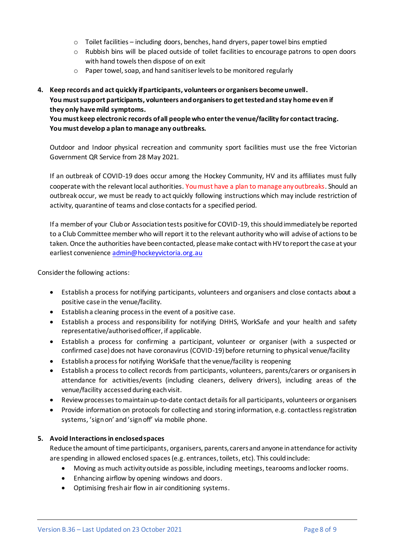- $\circ$  Toilet facilities including doors, benches, hand dryers, paper towel bins emptied
- o Rubbish bins will be placed outside of toilet facilities to encourage patrons to open doors with hand towels then dispose of on exit
- o Paper towel, soap, and hand sanitiser levels to be monitored regularly

#### **4. Keep records and act quickly if participants, volunteers or organisers become unwell. You must support participants, volunteers and organisers to get tested and stay home even if they only have mild symptoms.**

**You must keep electronic records of all people who enter the venue/facility for contact tracing. You must develop a plan to manage any outbreaks.**

Outdoor and Indoor physical recreation and community sport facilities must use the free Victorian Government QR Service from 28 May 2021.

If an outbreak of COVID-19 does occur among the Hockey Community, HV and its affiliates must fully cooperate with the relevant local authorities. You must have a plan to manage any outbreaks. Should an outbreak occur, we must be ready to act quickly following instructions which may include restriction of activity, quarantine of teams and close contacts for a specified period.

If a member of your Club or Association tests positive for COVID-19, this should immediately be reported to a Club Committee member who will report it to the relevant authority who will advise of actions to be taken. Once the authorities have been contacted, please make contact with HV to report the case at your earliest convenience [admin@hockeyvictoria.org.au](mailto:admin@hockeyvictoria.org.au)

Consider the following actions:

- Establish a process for notifying participants, volunteers and organisers and close contacts about a positive case in the venue/facility.
- Establish a cleaning process in the event of a positive case.
- Establish a process and responsibility for notifying DHHS, WorkSafe and your health and safety representative/authorised officer, if applicable.
- Establish a process for confirming a participant, volunteer or organiser (with a suspected or confirmed case) does not have coronavirus (COVID-19)before returning to physical venue/facility
- Establish a process for notifying WorkSafe that the venue/facility is reopening
- Establish a process to collect records from participants, volunteers, parents/carers or organisers in attendance for activities/events (including cleaners, delivery drivers), including areas of the venue/facility accessed during each visit.
- Review processes to maintain up-to-date contact details for all participants, volunteers or organisers
- Provide information on protocols for collecting and storing information, e.g. contactless registration systems, 'sign on' and 'sign off' via mobile phone.

#### **5. Avoid Interactions in enclosed spaces**

Reduce the amount of time participants, organisers, parents, carers and anyone in attendance for activity are spending in allowed enclosed spaces (e.g. entrances, toilets, etc). This could include:

- Moving as much activity outside as possible, including meetings, tearooms and locker rooms.
- Enhancing airflow by opening windows and doors.
- Optimising fresh air flow in air conditioning systems.